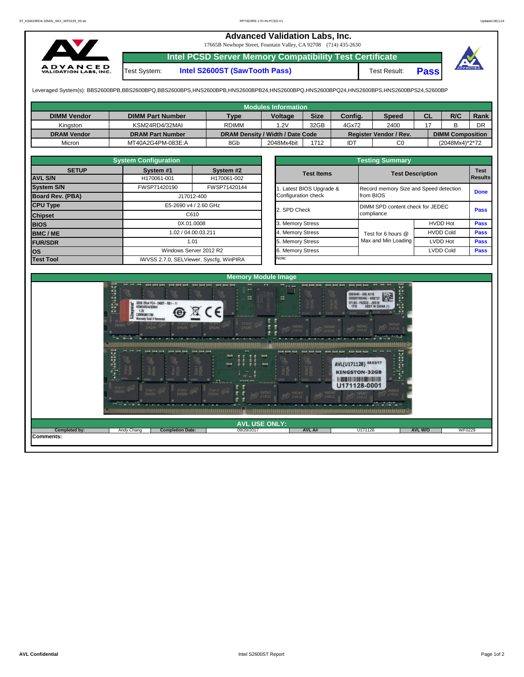## **Advanced Validation Labs, Inc.**

17665B Newhope Street, Fountain Valley, CA 92708 (714) 435-2630



**Intel PCSD Server Memory Compatibility Test Certificate**

**Intel S2600ST (SawTooth Pass)** Test Result: **Pass** 



Leveraged System(s): BBS2600BPB,BBS2600BPQ,BBS2600BPS,HNS2600BPB,HNS2600BPB24,HNS2600BPQ,HNS2600BPQ24,HNS2600BPS,HNS2600BPS24,S2600BP

|                    |                         |              | Modules Information              |             |            |                        |           |                         |             |
|--------------------|-------------------------|--------------|----------------------------------|-------------|------------|------------------------|-----------|-------------------------|-------------|
| <b>DIMM Vendor</b> | <b>DIMM Part Number</b> | <b>Type</b>  | Voltage                          | <b>Size</b> | Config.    | <b>Speed</b>           | <b>CL</b> | R/C                     | <b>Rank</b> |
| Kinaston           | KSM24RD4/32MAI          | <b>RDIMM</b> | .2V                              | 32GB        | 4Gx72      | 2400                   |           |                         | DR          |
| <b>DRAM Vendor</b> | <b>DRAM Part Number</b> |              | DRAM Density / Width / Date Code |             |            | Register Vendor / Rev. |           | <b>DIMM Composition</b> |             |
| Micron             | MT40A2G4PM-083E:A       | 8Gb          | 2048Mx4bit                       | 1712        | <b>IDT</b> | C0                     |           | (2048Mx4)*2*72          |             |

|                   | <b>System Configuration</b> |                                         |  | <b>Testing Summary</b> |                                  |                                        |                        |  |  |  |  |  |
|-------------------|-----------------------------|-----------------------------------------|--|------------------------|----------------------------------|----------------------------------------|------------------------|--|--|--|--|--|
| <b>SETUP</b>      | System #1                   | System #2                               |  | <b>Test Items</b>      | <b>Test Description</b>          |                                        | <b>Test</b><br>Results |  |  |  |  |  |
| <b>AVL S/N</b>    | H170061-001                 | H170061-002                             |  |                        |                                  |                                        |                        |  |  |  |  |  |
| <b>System S/N</b> | FWSP71420190                | FWSP71420144                            |  | Latest BIOS Upgrade &  |                                  | Record memory Size and Speed detection |                        |  |  |  |  |  |
| Board Rev. (PBA)  |                             | J17012-400                              |  | Configuration check    | from BIOS                        |                                        | <b>Done</b>            |  |  |  |  |  |
| <b>CPU Type</b>   | E5-2690 v4 / 2.60 GHz       |                                         |  | 2. SPD Check           | DIMM SPD content check for JEDEC |                                        |                        |  |  |  |  |  |
| <b>Chipset</b>    |                             | C610                                    |  |                        | compliance                       |                                        | <b>Pass</b>            |  |  |  |  |  |
| <b>BIOS</b>       | 0X.01.0008                  |                                         |  | 3. Memory Stress       |                                  | <b>HVDD Hot</b>                        | <b>Pass</b>            |  |  |  |  |  |
| <b>BMC/ME</b>     | 1.02 / 04.00.03.211         |                                         |  | 4. Memory Stress       | Test for 6 hours @               | <b>HVDD Cold</b>                       | <b>Pass</b>            |  |  |  |  |  |
| <b>FUR/SDR</b>    |                             | 1.01                                    |  | 5. Memory Stress       | Max and Min Loading              | LVDD Hot                               | <b>Pass</b>            |  |  |  |  |  |
| <b>los</b>        |                             | Windows Server 2012 R2                  |  | . Memory Stress        |                                  | <b>LVDD Cold</b>                       | <b>Pass</b>            |  |  |  |  |  |
| <b>Test Tool</b>  |                             | iWVSS 2.7.0, SELViewer, Syscfq, WinPIRA |  | Note:                  |                                  |                                        |                        |  |  |  |  |  |

Test System:

|                                                 | <b>Testing Summary</b>                              |                  |                               |
|-------------------------------------------------|-----------------------------------------------------|------------------|-------------------------------|
| <b>Test Items</b>                               | <b>Test Description</b>                             |                  | <b>Test</b><br><b>Results</b> |
| 1. Latest BIOS Upgrade &<br>Configuration check | Record memory Size and Speed detection<br>from BIOS |                  | <b>Done</b>                   |
| 2. SPD Check                                    | DIMM SPD content check for JEDEC<br>compliance      |                  | Pass                          |
| 3. Memory Stress                                |                                                     | <b>HVDD Hot</b>  | <b>Pass</b>                   |
| 4. Memory Stress                                | Test for 6 hours @                                  | <b>HVDD Cold</b> | <b>Pass</b>                   |
| 5. Memory Stress                                | Max and Min Loading                                 | LVDD Hot         | <b>Pass</b>                   |
| 6. Memory Stress                                |                                                     | <b>LVDD Cold</b> | <b>Pass</b>                   |
| Note:                                           |                                                     |                  |                               |